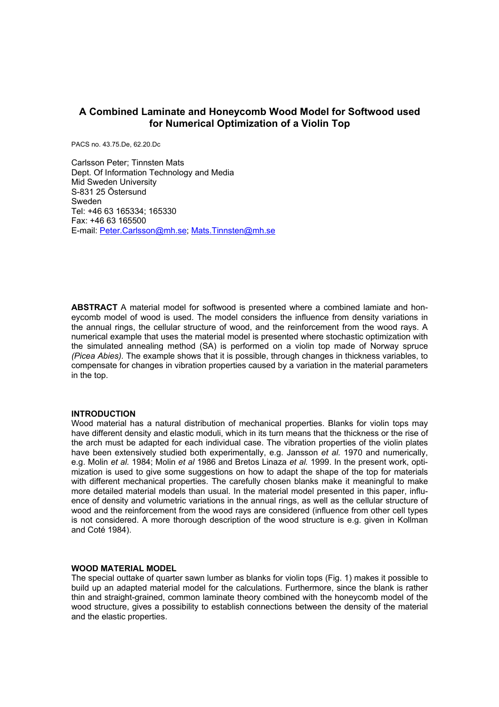# **A Combined Laminate and Honeycomb Wood Model for Softwood used for Numerical Optimization of a Violin Top**

PACS no. 43.75.De, 62.20.Dc

Carlsson Peter; Tinnsten Mats Dept. Of Information Technology and Media Mid Sweden University S-831 25 Östersund Sweden Tel: +46 63 165334; 165330 Fax: +46 63 165500 E-mail: [Peter.Carlsson@mh.se;](mailto:Peter.Carlsson@mh.se) [Mats.Tinnsten@mh.se](mailto:Mats.Tinnsten@mh.se)

**ABSTRACT** A material model for softwood is presented where a combined lamiate and honeycomb model of wood is used. The model considers the influence from density variations in the annual rings, the cellular structure of wood, and the reinforcement from the wood rays. A numerical example that uses the material model is presented where stochastic optimization with the simulated annealing method (SA) is performed on a violin top made of Norway spruce *(Picea Abies).* The example shows that it is possible, through changes in thickness variables, to compensate for changes in vibration properties caused by a variation in the material parameters in the top.

## **INTRODUCTION**

Wood material has a natural distribution of mechanical properties. Blanks for violin tops may have different density and elastic moduli, which in its turn means that the thickness or the rise of the arch must be adapted for each individual case. The vibration properties of the violin plates have been extensively studied both experimentally, e.g. Jansson *et al.* 1970 and numerically, e.g. Molin *et al.* 1984; Molin *et al* 1986 and Bretos Linaza *et al.* 1999. In the present work, optimization is used to give some suggestions on how to adapt the shape of the top for materials with different mechanical properties. The carefully chosen blanks make it meaningful to make more detailed material models than usual. In the material model presented in this paper, influence of density and volumetric variations in the annual rings, as well as the cellular structure of wood and the reinforcement from the wood rays are considered (influence from other cell types is not considered. A more thorough description of the wood structure is e.g. given in Kollman and Coté 1984).

## **WOOD MATERIAL MODEL**

The special outtake of quarter sawn lumber as blanks for violin tops (Fig. 1) makes it possible to build up an adapted material model for the calculations. Furthermore, since the blank is rather thin and straight-grained, common laminate theory combined with the honeycomb model of the wood structure, gives a possibility to establish connections between the density of the material and the elastic properties.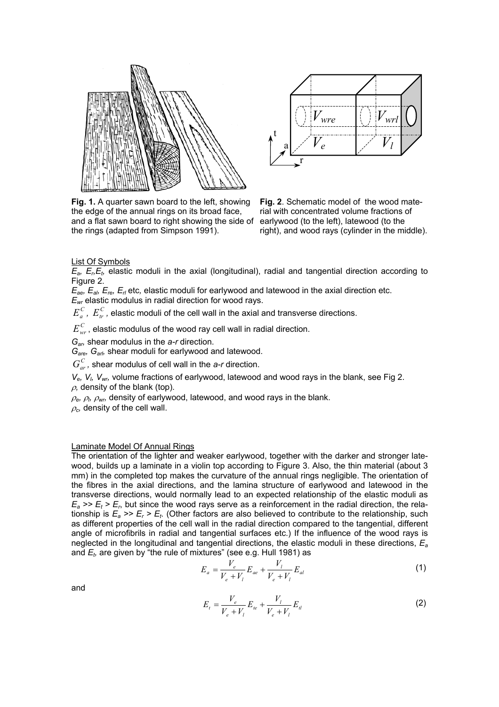



**Fig. 1.** A quarter sawn board to the left, showing the edge of the annual rings on its broad face, and a flat sawn board to right showing the side of the rings (adapted from Simpson 1991).

**Fig. 2**. Schematic model of the wood material with concentrated volume fractions of earlywood (to the left), latewood (to the right), and wood rays (cylinder in the middle).

List Of Symbols

 $E_a$ ,  $E_b$ , *E<sub>t</sub>*, elastic moduli in the axial (longitudinal), radial and tangential direction according to Figure 2.

 $\overline{E}_{ae}$ ,  $E_{ab}$ ,  $E_{re}$ ,  $E_{rl}$  etc, elastic moduli for earlywood and latewood in the axial direction etc.

*Ewr* elastic modulus in radial direction for wood rays.

 $E_a^C$ ,  $E_a^C$ , elastic moduli of the cell wall in the axial and transverse directions.

 $E_{\text{wr}}^{\text{C}}$ , elastic modulus of the wood ray cell wall in radial direction.

*Gar,* shear modulus in the *a-r* direction.

*Gare, Garl,* shear moduli for earlywood and latewood.

*G*<sup>*C*</sup><sub>*at*</sub>, shear modulus of cell wall in the *a-r* direction.

*Ve, Vl, Vwr,* volume fractions of earlywood, latewood and wood rays in the blank, see Fig 2.  $\rho$ , density of the blank (top).

 $\rho$ <sub>e</sub>,  $\rho$ <sub>*l</sub>*,  $\rho$ <sub>wr</sub>, density of earlywood, latewood, and wood rays in the blank.</sub>

 $\rho_c$ , density of the cell wall.

### Laminate Model Of Annual Rings

The orientation of the lighter and weaker earlywood, together with the darker and stronger latewood, builds up a laminate in a violin top according to Figure 3. Also, the thin material (about 3 mm) in the completed top makes the curvature of the annual rings negligible. The orientation of the fibres in the axial directions, and the lamina structure of earlywood and latewood in the transverse directions, would normally lead to an expected relationship of the elastic moduli as  $E_a \gg E_t \gg E_r$ , but since the wood rays serve as a reinforcement in the radial direction, the relationship is  $E_a \gg E_r \gg E_t$ . (Other factors are also believed to contribute to the relationship, such as different properties of the cell wall in the radial direction compared to the tangential, different angle of microfibrils in radial and tangential surfaces etc.) If the influence of the wood rays is neglected in the longitudinal and tangential directions, the elastic moduli in these directions, *Ea* and  $E_t$ , are given by "the rule of mixtures" (see e.g. Hull 1981) as

$$
E_a = \frac{V_e}{V_e + V_l} E_{ae} + \frac{V_l}{V_e + V_l} E_{al}
$$
 (1)

and

$$
E_{t} = \frac{V_{e}}{V_{e} + V_{l}} E_{te} + \frac{V_{l}}{V_{e} + V_{l}} E_{tl}
$$
\n(2)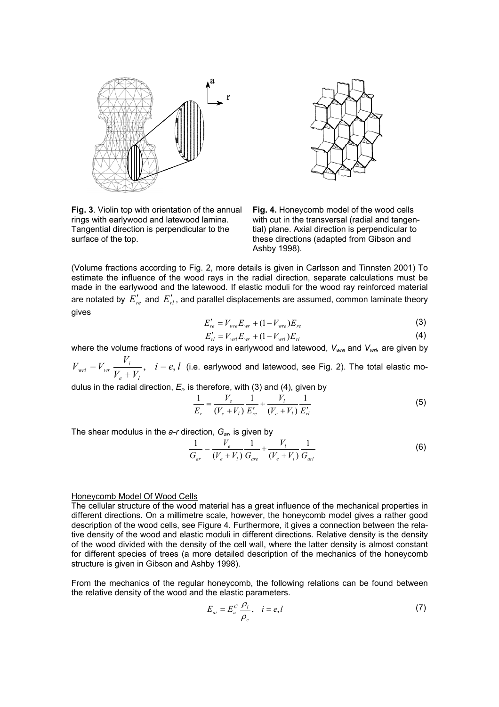



**Fig. 3**. Violin top with orientation of the annual rings with earlywood and latewood lamina. Tangential direction is perpendicular to the surface of the top.

**Fig. 4.** Honeycomb model of the wood cells with cut in the transversal (radial and tangential) plane. Axial direction is perpendicular to these directions (adapted from Gibson and Ashby 1998).

(Volume fractions according to Fig. 2, more details is given in Carlsson and Tinnsten 2001) To estimate the influence of the wood rays in the radial direction, separate calculations must be made in the earlywood and the latewood. If elastic moduli for the wood ray reinforced material are notated by  $\,E_{re}'$  and  $\,E_{rl}'$ , and parallel displacements are assumed, common laminate theory gives

$$
E'_{re} = V_{wre} E_{wr} + (1 - V_{wre}) E_{re}
$$
 (3)

$$
E'_{rl} = V_{wrl} E_{wr} + (1 - V_{wrl}) E_{rl}
$$
 (4)

where the volume fractions of wood rays in earlywood and latewood,  $V_{wre}$  and  $V_{wrl}$ , are given by  $i = e, l$  $V_e + V$  $V_{\text{wri}} = V_{\text{wri}} \frac{V}{I}$ *e l*  $V_{wri} = V_{wr} \frac{V_i}{V_e + V_i}, \quad i = e, l$  (i.e. earlywood and latewood, see Fig. 2). The total elastic mo-

dulus in the radial direction, *Er,* is therefore, with (3) and (4), given by

$$
\frac{1}{E_r} = \frac{V_e}{(V_e + V_l)} \frac{1}{E'_{re}} + \frac{V_l}{(V_e + V_l)} \frac{1}{E'_{rl}}
$$
(5)

The shear modulus in the *a-r* direction, *Gar,* is given by

$$
\frac{1}{G_{ar}} = \frac{V_e}{(V_e + V_l)} \frac{1}{G_{are}} + \frac{V_l}{(V_e + V_l)} \frac{1}{G_{arl}}
$$
(6)

### Honeycomb Model Of Wood Cells

The cellular structure of the wood material has a great influence of the mechanical properties in different directions. On a millimetre scale, however, the honeycomb model gives a rather good description of the wood cells, see Figure 4. Furthermore, it gives a connection between the relative density of the wood and elastic moduli in different directions. Relative density is the density of the wood divided with the density of the cell wall, where the latter density is almost constant for different species of trees (a more detailed description of the mechanics of the honeycomb structure is given in Gibson and Ashby 1998).

From the mechanics of the regular honeycomb, the following relations can be found between the relative density of the wood and the elastic parameters.

$$
E_{ai} = E_a^C \frac{\rho_i}{\rho_c}, \quad i = e, l \tag{7}
$$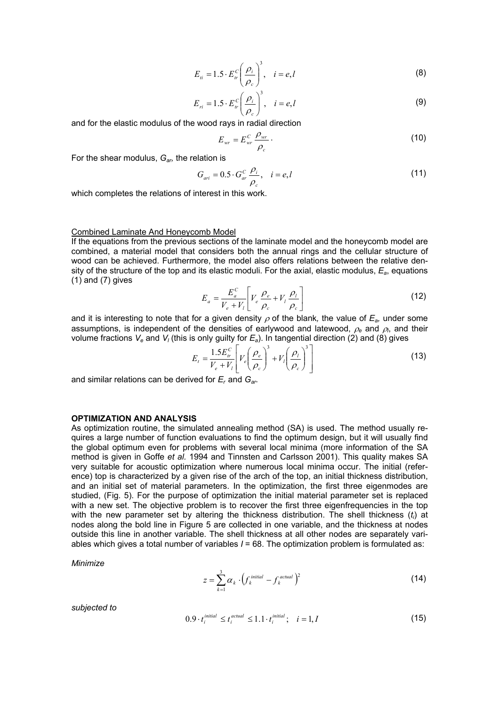$$
E_{ii} = 1.5 \cdot E_{ir}^c \left(\frac{\rho_i}{\rho_c}\right)^3, \quad i = e, l \tag{8}
$$

$$
E_{ri} = 1.5 \cdot E_{ir}^c \left(\frac{\rho_i}{\rho_c}\right)^3, \quad i = e, l \tag{9}
$$

and for the elastic modulus of the wood rays in radial direction

$$
E_{wr} = E_{wr}^C \frac{\rho_{wr}}{\rho_c} \,. \tag{10}
$$

For the shear modulus, *Gar,* the relation is

$$
G_{ari} = 0.5 \cdot G_{ar}^C \frac{\rho_i}{\rho_c}, \quad i = e, l \tag{11}
$$

which completes the relations of interest in this work.

#### Combined Laminate And Honeycomb Model

If the equations from the previous sections of the laminate model and the honeycomb model are combined, a material model that considers both the annual rings and the cellular structure of wood can be achieved. Furthermore, the model also offers relations between the relative density of the structure of the top and its elastic moduli. For the axial, elastic modulus, *Ea*, equations  $(1)$  and  $(7)$  gives

$$
E_a = \frac{E_a^C}{V_e + V_l} \left[ V_e \frac{\rho_e}{\rho_c} + V_l \frac{\rho_l}{\rho_c} \right]
$$
 (12)

and it is interesting to note that for a given density  $\rho$  of the blank, the value of  $E_{a}$ , under some assumptions, is independent of the densities of earlywood and latewood, <sup>ρ</sup>*e* and <sup>ρ</sup>*<sup>l</sup>* , and their volume fractions  $V_e$  and  $V_l$  (this is only guilty for  $E_a$ ). In tangential direction (2) and (8) gives

$$
E_{t} = \frac{1.5 E_{tr}^{C}}{V_{e} + V_{l}} \left[ V_{e} \left( \frac{\rho_{e}}{\rho_{c}} \right)^{3} + V_{l} \left( \frac{\rho_{l}}{\rho_{c}} \right)^{3} \right]
$$
(13)

and similar relations can be derived for *Er* and *Gar.* 

# **OPTIMIZATION AND ANALYSIS**

As optimization routine, the simulated annealing method (SA) is used. The method usually requires a large number of function evaluations to find the optimum design, but it will usually find the global optimum even for problems with several local minima (more information of the SA method is given in Goffe *et al.* 1994 and Tinnsten and Carlsson 2001). This quality makes SA very suitable for acoustic optimization where numerous local minima occur. The initial (reference) top is characterized by a given rise of the arch of the top, an initial thickness distribution, and an initial set of material parameters. In the optimization, the first three eigenmodes are studied, (Fig. 5). For the purpose of optimization the initial material parameter set is replaced with a new set. The objective problem is to recover the first three eigenfrequencies in the top with the new parameter set by altering the thickness distribution. The shell thickness (t<sub>i</sub>) at nodes along the bold line in Figure 5 are collected in one variable, and the thickness at nodes outside this line in another variable. The shell thickness at all other nodes are separately variables which gives a total number of variables *I* = 68. The optimization problem is formulated as:

*Minimize*

$$
z = \sum_{k=1}^{3} \alpha_k \cdot \left( f_k^{\text{initial}} - f_k^{\text{actual}} \right)^2 \tag{14}
$$

*subjected to*

$$
0.9 \cdot t_i^{\text{initial}} \le t_i^{\text{actual}} \le 1.1 \cdot t_i^{\text{initial}}; \quad i = 1, I \tag{15}
$$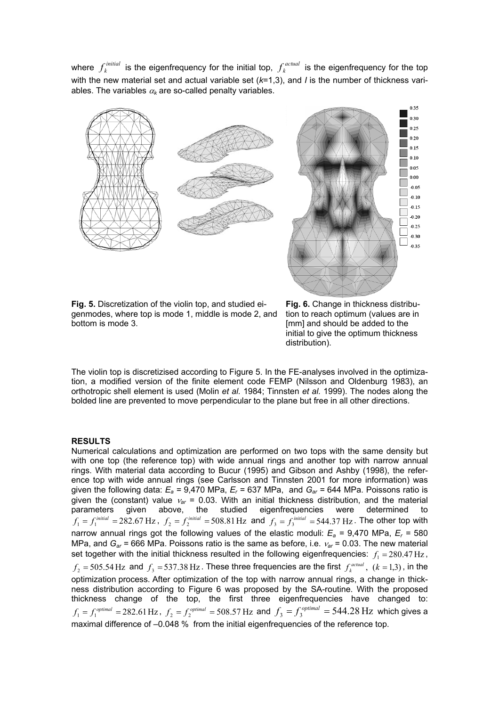where  $f_k^{\text{initial}}$  is the eigenfrequency for the initial top,  $f_k^{\text{actual}}$  is the eigenfrequency for the top with the new material set and actual variable set (*k*=1,3), and *I* is the number of thickness variables. The variables  $\alpha_k$  are so-called penalty variables.



**Fig. 5.** Discretization of the violin top, and studied eigenmodes, where top is mode 1, middle is mode 2, and bottom is mode 3.

**Fig. 6.** Change in thickness distribution to reach optimum (values are in [mm] and should be added to the initial to give the optimum thickness distribution).

The violin top is discretizised according to Figure 5. In the FE-analyses involved in the optimization, a modified version of the finite element code FEMP (Nilsson and Oldenburg 1983), an orthotropic shell element is used (Molin *et al.* 1984; Tinnsten *et al.* 1999). The nodes along the bolded line are prevented to move perpendicular to the plane but free in all other directions.

# **RESULTS**

Numerical calculations and optimization are performed on two tops with the same density but with one top (the reference top) with wide annual rings and another top with narrow annual rings. With material data according to Bucur (1995) and Gibson and Ashby (1998), the reference top with wide annual rings (see Carlsson and Tinnsten 2001 for more information) was given the following data: *Ea =* 9,470 MPa, *Er =* 637 MPa, and *Gar =* 644 MPa. Poissons ratio is given the (constant) value <sup>ν</sup>*ar* = 0.03. With an initial thickness distribution, and the material parameters given above, the studied eigenfrequencies were determined to  $f_1 = f_1^{initial} = 282.67 \text{ Hz}$ ,  $f_2 = f_2^{initial} = 508.81 \text{ Hz}$  and  $f_3 = f_3^{initial} = 544.37 \text{ Hz}$ . The other top with narrow annual rings got the following values of the elastic moduli: *E a =* 9,470 MPa, *Er =* 580  $f_2 = 505.54$  Hz and  $f_3 = 537.38$  Hz. These three frequencies are the first  $f_k^{actual}$ ,  $(k = 1,3)$ , in the  $f_1 = f_1^\text{optimal} = 282.61\,\text{Hz}$  ,  $f_2 = f_2^\text{optimal} = 508.57\,\text{Hz}$  and  $f_3 = f_3^\text{optimal} = 544.28\,\text{Hz}$  which gives a MPa, and *Gar =* 666 MPa. Poissons ratio is the same as before, i.e. <sup>ν</sup>*ar* = 0.03. The new material set together with the initial thickness resulted in the following eigenfrequencies:  $f_1 = 280.47 \,\text{Hz}$ , optimization process. After optimization of the top with narrow annual rings, a change in thickness distribution according to Figure 6 was proposed by the SA-routine. With the proposed thickness change of the top, the first three eigenfrequencies have changed to: maximal difference of -0.048 % from the initial eigenfrequencies of the reference top.